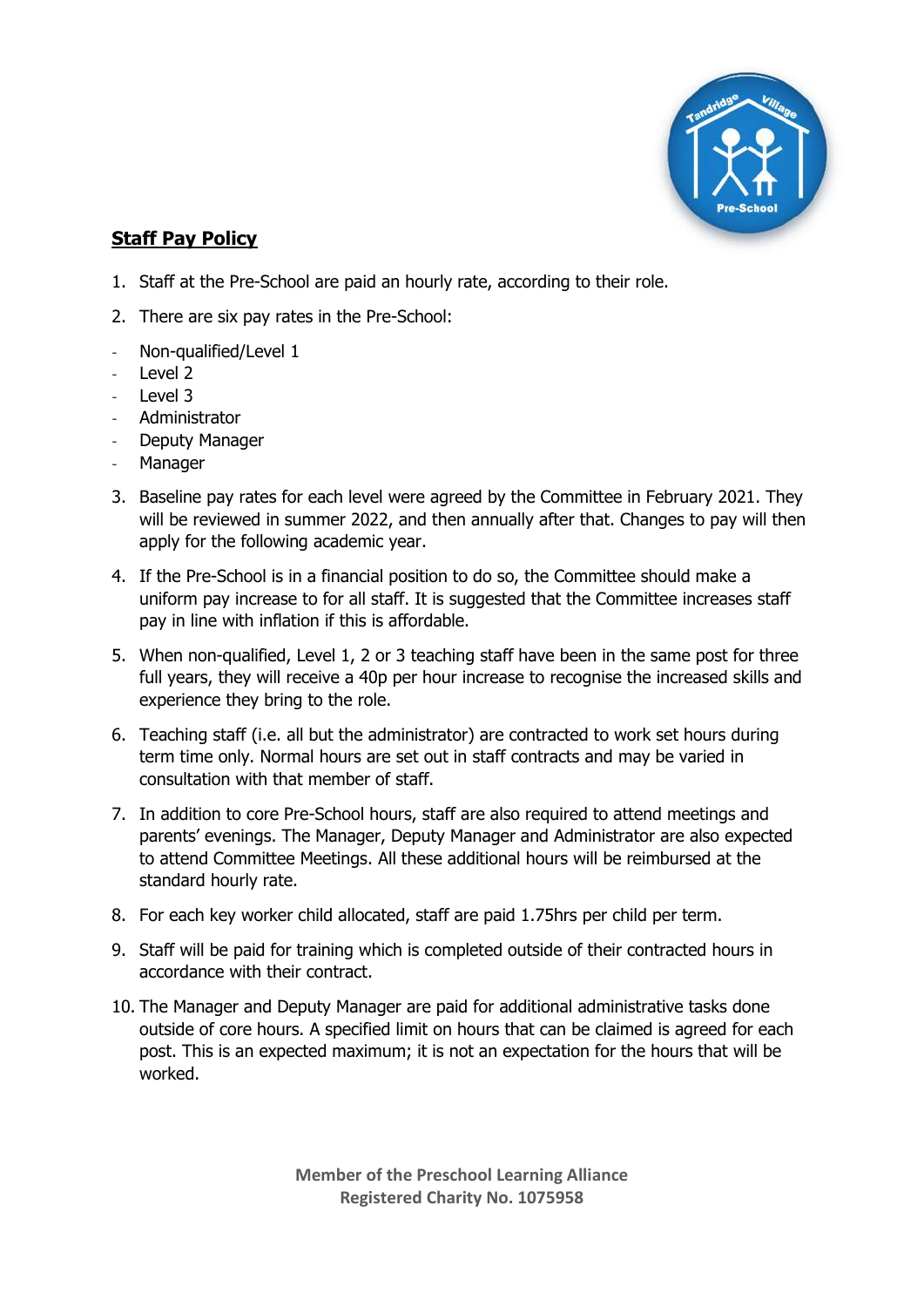

## **Staff Pay Policy**

- 1. Staff at the Pre-School are paid an hourly rate, according to their role.
- 2. There are six pay rates in the Pre-School:
- Non-qualified/Level 1
- Level 2
- Level 3
- Administrator
- Deputy Manager
- **Manager**
- 3. Baseline pay rates for each level were agreed by the Committee in February 2021. They will be reviewed in summer 2022, and then annually after that. Changes to pay will then apply for the following academic year.
- 4. If the Pre-School is in a financial position to do so, the Committee should make a uniform pay increase to for all staff. It is suggested that the Committee increases staff pay in line with inflation if this is affordable.
- 5. When non-qualified, Level 1, 2 or 3 teaching staff have been in the same post for three full years, they will receive a 40p per hour increase to recognise the increased skills and experience they bring to the role.
- 6. Teaching staff (i.e. all but the administrator) are contracted to work set hours during term time only. Normal hours are set out in staff contracts and may be varied in consultation with that member of staff.
- 7. In addition to core Pre-School hours, staff are also required to attend meetings and parents' evenings. The Manager, Deputy Manager and Administrator are also expected to attend Committee Meetings. All these additional hours will be reimbursed at the standard hourly rate.
- 8. For each key worker child allocated, staff are paid 1.75hrs per child per term.
- 9. Staff will be paid for training which is completed outside of their contracted hours in accordance with their contract.
- 10. The Manager and Deputy Manager are paid for additional administrative tasks done outside of core hours. A specified limit on hours that can be claimed is agreed for each post. This is an expected maximum; it is not an expectation for the hours that will be worked.

**Member of the Preschool Learning Alliance Registered Charity No. 1075958**